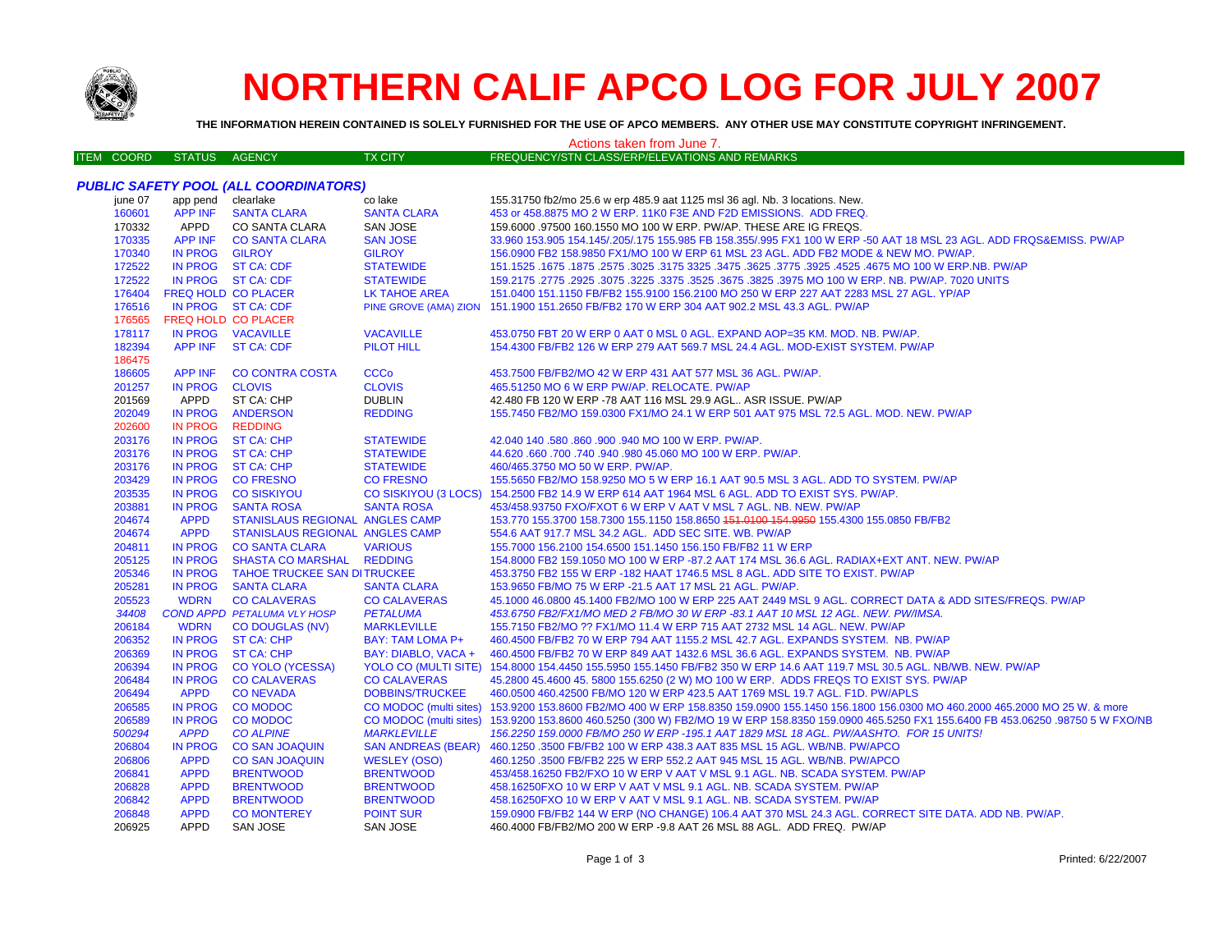

# **NORTHERN CALIF APCO LOG FOR JULY 2007**

THE INFORMATION HEREIN CONTAINED IS SOLELY FURNISHED FOR THE USE OF APCO MEMBERS. ANY OTHER USE MAY CONSTITUTE COPYRIGHT INFRINGEMENT.

#### Actions taken from June 7. FREQUENCY/STN CLASS/ERP/ELEVATIONS AND REMARKS **ITEM COORD** STATUS AGENCY **TX CITY PUBLIC SAFETY POOL (ALL COORDINATORS)** iune 07 app pend clearlake co lake 155.31750 fb2/mo 25.6 w erp 485.9 aat 1125 msl 36 agl. Nb. 3 locations. New. 160601 **APP INF SANTA CLARA SANTA CLARA** 453 or 458.8875 MO 2 W ERP. 11K0 F3E AND F2D EMISSIONS. ADD FREQ. CO SANTA CLARA 170332 APPD SAN JOSE 159.6000 .97500 160.1550 MO 100 W ERP. PW/AP. THESE ARE IG FREQS. 170335 **APP INF CO SANTA CLARA SAN JOSE** 33.960 153.905 154.145/.205/.175 155.985 FB 158.355/.995 FX1 100 W ERP -50 AAT 18 MSL 23 AGL. ADD FRQS&EMISS. PW/AP 170340 IN PROG **GILROY GILROY** 156.0900 FB2 158.9850 FX1/MO 100 W ERP 61 MSL 23 AGL. ADD FB2 MODE & NEW MO. PW/AP 172522 **IN PROG ST CA: CDF STATEWIDE** 151.1525 .1675 .1875 .2575 .3025 .3175 3325 .3475 .3625 .3775 .3925 .4525 .4675 MO 100 W ERP.NB. PW/AP 172522 IN PROG ST CA: CDF **STATEWIDE** 159.2175 .2775 .2925 .3075 .3225 .3375 .3525 .3675 .3825 .3975 MO 100 W ERP. NB. PW/AP. 7020 UNITS **FREQ HOLD CO PLACER** 151.0400 151.1150 FB/FB2 155.9100 156.2100 MO 250 W ERP 227 AAT 2283 MSL 27 AGL. YP/AP 176404 LK TAHOE AREA IN PROG ST CA: CDF PINE GROVE (AMA) ZION 151.1900 151.2650 FB/FB2 170 W ERP 304 AAT 902.2 MSL 43.3 AGL. PW/AP 176516 176565 **FREQ HOLD CO PLACER** IN PROG VACAVILLE **VACAVILLE** 453.0750 FBT 20 W ERP 0 AAT 0 MSL 0 AGL. EXPAND AOP=35 KM, MOD, NB, PW/AP, 178117 182394 **APP INF ST CA: CDF PILOT HILL** 154,4300 FB/FB2 126 W ERP 279 AAT 569.7 MSL 24.4 AGL, MOD-EXIST SYSTEM, PW/AP 186475 186605 **APP INF CO CONTRA COSTA CCCo** 453.7500 FB/FB2/MO 42 W ERP 431 AAT 577 MSL 36 AGL. PW/AP. 201257 **IN PROG CLOVIS CLOVIS** 465.51250 MO 6 W ERP PW/AP, RELOCATE, PW/AP 201569 APPD ST CA: CHP **DUBLIN** 42.480 FB 120 W ERP -78 AAT 116 MSL 29.9 AGL.. ASR ISSUE. PW/AP 155.7450 FB2/MO 159.0300 FX1/MO 24.1 W ERP 501 AAT 975 MSL 72.5 AGL. MOD. NEW. PW/AP 202049 **IN PROG ANDERSON REDDING** 202600 **IN PROG REDDING** 203176 **IN PROG ST CA: CHP STATEWIDE** 42.040 140 .580 .860 .900 .940 MO 100 W ERP. PW/AP. 203176 **IN PROG ST CA: CHP STATEWIDE** 44,620,660,700,740,940,980,45,060 MO 100 W ERP, PW/AP. 203176 **IN PROG ST CA: CHP STATEWIDE** 460/465 3750 MO 50 W FRP PW/AP 203429 **IN PROG CO FRESNO CO FRESNO** 155.5650 FB2/MO 158.9250 MO 5 W ERP 16.1 AAT 90.5 MSL 3 AGL. ADD TO SYSTEM. PW/AP 203535 **IN PROG CO SISKIYOU CO SISKIYOU (3 LOCS)** 154.2500 FB2 14.9 W ERP 614 AAT 1964 MSL 6 AGL. ADD TO EXIST SYS. PW/AP. 203881 453/458.93750 FXO/FXOT 6 W ERP V AAT V MSL 7 AGL. NB. NEW. PW/AP **IN PROG SANTA ROSA SANTA ROSA** 153.770 155.3700 158.7300 155.1150 158.8650 151.0100 154.9950 155.4300 155.0850 FB/FB2 204674 **APPD STANISLAUS REGIONAL ANGLES CAMP** 204674 **APPD STANISLAUS REGIONAL ANGLES CAMP** 554.6 AAT 917.7 MSL 34.2 AGL. ADD SEC SITE, WB, PW/AP 204811 IN PROG **CO SANTA CLARA VARIOUS** 155,7000 156,2100 154,6500 151,1450 156,150 FB/FB2 11 W ERP **SHASTA CO MARSHAL** 205125 **IN PROG REDDING** 154,8000 FB2 159,1050 MO 100 W ERP -87.2 AAT 174 MSL 36.6 AGL, RADIAX+EXT ANT, NEW, PW/AP IN PROG **TAHOE TRUCKEE SAN DITRUCKEE** 453,3750 FB2 155 W ERP -182 HAAT 1746.5 MSL 8 AGL, ADD SITE TO EXIST, PW/AP 205346 205281 **IN PROG SANTA CLARA SANTA CLARA** 153.9650 FB/MO 75 W ERP -21.5 AAT 17 MSL 21 AGL. PW/AP. **CO CALAVERAS** 45.1000 46.0800 45.1400 FB2/MO 100 W ERP 225 AAT 2449 MSL 9 AGL. CORRECT DATA & ADD SITES/FREQS. PW/AP 205523 **WDRN CO CALAVERAS COND APPD PETALUMA VLY HOSP** 453.6750 FB2/FX1/MO MED 2 FB/MO 30 W ERP -83.1 AAT 10 MSL 12 AGL. NEW. PW/IMSA. 34408 **PETALUMA** 206184 **WDRN CO DOUGLAS (NV) MARKLEVILLE** 155.7150 FB2/MO ?? FX1/MO 11.4 W ERP 715 AAT 2732 MSL 14 AGL. NEW. PW/AP 206352 IN PROG BAY: TAM LOMA P+ 460.4500 FB/FB2 70 W ERP 794 AAT 1155.2 MSL 42.7 AGL. EXPANDS SYSTEM. NB. PW/AP **ST CA: CHP** 206369 **IN PROG ST CA: CHP** BAY: DIABLO, VACA + 460,4500 FB/FB2 70 W ERP 849 AAT 1432.6 MSL 36.6 AGL. EXPANDS SYSTEM. NB. PW/AP 206394 IN PROG **CO YOLO (YCESSA) YOLO CO (MULTI SITE)** 154,8000 154,4450 155,5950 155,1450 FB/FB2 350 W ERP 14.6 AAT 119.7 MSL 30.5 AGL, NB/WB, NEW, PW/AP 206484 **IN PROG CO CALAVERAS CO CALAVERAS** 45.2800 45.4600 45.5800 155.6250 (2 W) MO 100 W ERP. ADDS FREQS TO EXIST SYS. PW/AP 206494 **APPD CONEVADA DOBBINS/TRUCKEE** 460.0500 460.42500 FB/MO 120 W ERP 423.5 AAT 1769 MSL 19.7 AGL. F1D. PW/APLS 206585 **IN PROG CO MODOC** CO MODOC (multi sites) 153.9200 153.8600 FB2/MO 400 W ERP 158.8350 159.0900 155.1450 156.1800 156.0300 MO 460.2000 465.2000 MO 25 W. & more 206589 **IN PROG CO MODOC** CO MODOC (multi sites) 153,9200 153,8600 460,5250 (300 W) FB2/MO 19 W ERP 158,8350 159,0900 465,5250 FX1 155,6400 FB 453,06250 ,98750 5 W FXO/NB 500294 **APPD CO ALPINE MARKLEVILLE** 156.2250 159.0000 FB/MO 250 W ERP - 195.1 AAT 1829 MSL 18 AGL. PW/AASHTO. FOR 15 UNITS! 206804 **CO SAN JOAQUIN SAN ANDREAS (BEAR)** 460.1250.3500 FB/FB2 100 W ERP 438.3 AAT 835 MSL 15 AGL. WB/NB. PW/APCO **IN PROG APPD** 206806 **CO SAN JOAQUIN WESLEY (OSO)** 460.1250 .3500 FB/FB2 225 W ERP 552.2 AAT 945 MSL 15 AGL. WB/NB. PW/APCO 206841 **APPD BRENTWOOD BRENTWOOD** 453/458.16250 FB2/FXO 10 W ERP V AAT V MSL 9.1 AGL, NB, SCADA SYSTEM, PW/AP 206828 **APPD BRENTWOOD BRENTWOOD** 458.16250 FXO 10 W ERP V AAT V MSL 9.1 AGL, NB, SCADA SYSTEM, PWAP 206842 **APPD BRENTWOOD BRENTWOOD** 458.16250FXO 10 W ERP V AAT V MSL 9.1 AGL, NB, SCADA SYSTEM, PW/AP 206848 **APPD CO MONTEREY** 159.0900 FB/FB2 144 W ERP (NO CHANGE) 106.4 AAT 370 MSL 24.3 AGL. CORRECT SITE DATA. ADD NB. PW/AP. **POINT SUR** 206925 **APPD** SAN JOSE SAN JOSE 460.4000 FB/FB2/MO 200 W ERP -9.8 AAT 26 MSL 88 AGL. ADD FREQ. PW/AP

Printed: 6/22/2007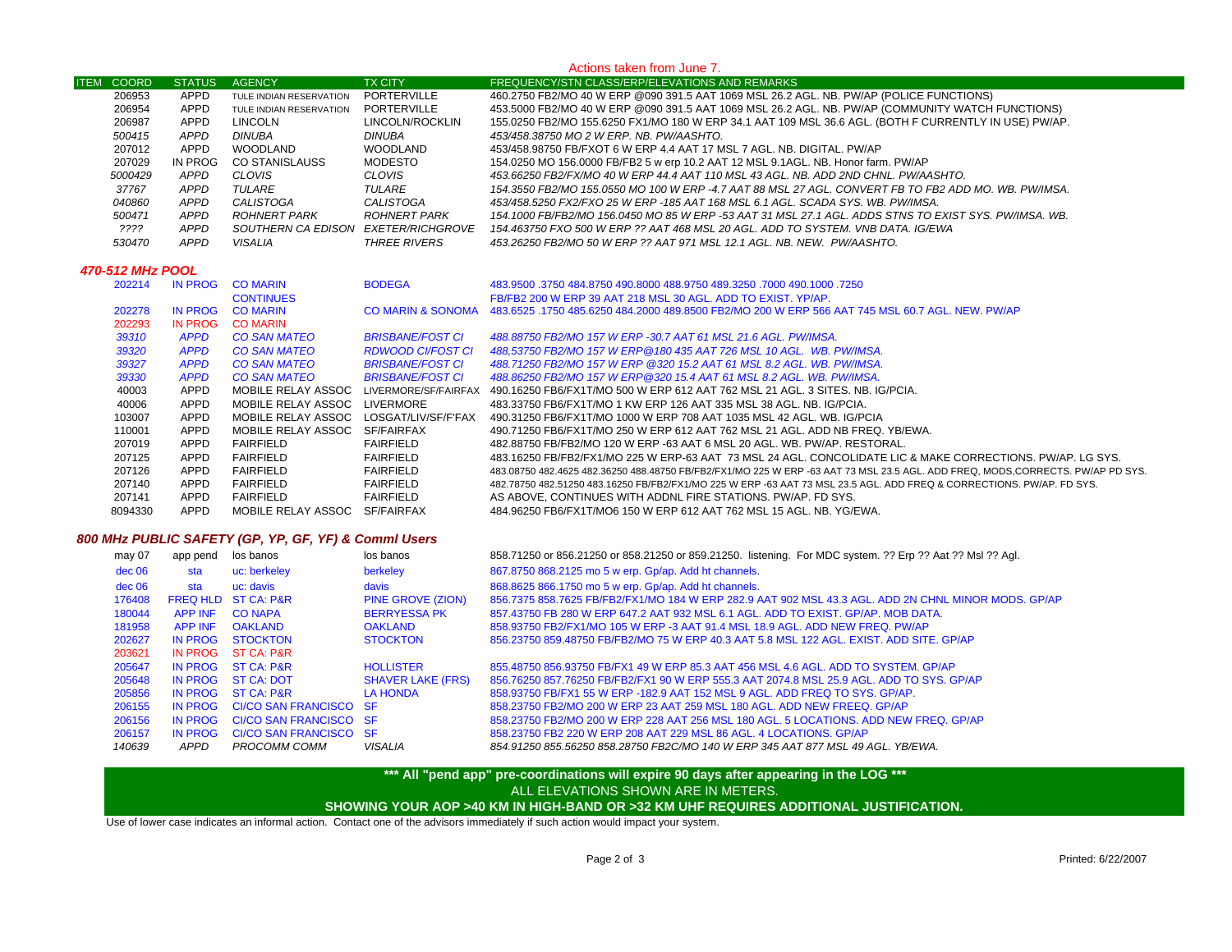#### **ITEM COORD STATUS AGENCY TX CITY FREQUENCY/STN CLASS/ERP/ELEVATIONS AND REMARKS** Actions taken from June 7. APPD TULE INDIAN RESERVATION PORTERVILLE 460.2750 FB2/MO 40 W ERP @090 391.5 AAT 1069 MSL 26.2 AGL. NB. PW/AP (POLICE FUNCTIONS) APPDAPPD TULE INDIAN RESERVATION PORTERVILLE 453.5000 FB2/MO 40 W ERP @090 391.5 AAT 1069 MSL 26.2 AGL. NB. PW/AP (COMMUNITY WATCH FUNCTIONS)<br>APPD LINCOLN LINCOLN/ROCKLIN 155.0250 FB2/MO 155.6250 FX1/MO 180 W ERP 34.1 AAT 109 APPD LINCOLN LINCOLN/ROCKLIN 155.0250 FB2/MO 155.6250 FX1/MO 180 W ERP 34.1 AAT 109 MSL 36.6 AGL. (BOTH F CURRENTLY IN USE) PW/AP.  *APPD DINUBA DINUBA 453/458.38750 MO 2 W ERP. NB. PW/AASHTO.* APPD WOODLAND WOODLAND 453/458.98750 FB/FXOT 6 W ERP 4.4 AAT 17 MSL 7 AGL. NB. DIGITAL. PW/AP IN PROG CO STANISLAUSS MODESTO 154.0250 MO 156.0000 FB/FB2 5 w erp 10.2 AAT 12 MSL 9.1AGL. NB. Honor farm. PW/AP  *APPD CLOVIS CLOVIS 453.66250 FB2/FX/MO 40 W ERP 44.4 AAT 110 MSL 43 AGL. NB. ADD 2ND CHNL. PW/AASHTO. APPD TULARE TULARE 154.3550 FB2/MO 155.0550 MO 100 W ERP -4.7 AAT 88 MSL 27 AGL. CONVERT FB TO FB2 ADD MO. WB. PW/IMSA. APPD CALISTOGA CALISTOGA 453/458.5250 FX2/FXO 25 W ERP -185 AAT 168 MSL 6.1 AGL. SCADA SYS. WB. PW/IMSA. APPD ROHNERT PARK ROHNERT PARK 154.1000 FB/FB2/MO 156.0450 MO 85 W ERP -53 AAT 31 MSL 27.1 AGL. ADDS STNS TO EXIST SYS. PW/IMSA. WB. ???? APPD SOUTHERN CA EDISON EXETER/RICHGROVE 154.463750 FXO 500 W ERP ?? AAT 468 MSL 20 AGL. ADD TO SYSTEM. VNB DATA. IG/EWA APPD VISALIA THREE RIVERS 453.26250 FB2/MO 50 W ERP ?? AAT 971 MSL 12.1 AGL. NB. NEW. PW/AASHTO. 470-512 MHz POOL* IN PROG CO MARIN BODEGA 483.9500 .3750 484.8750 490.8000 488.9750 489.3250 .7000 490.1000 .7250CONTINUES FB/FB2 200 W ERP 39 AAT 218 MSL 30 AGL. ADD TO EXIST. YP/AP. IN PROG CO MARIN CO MARIN & SONOMA 483.6525 .1750 485.6250 484.2000 489.8500 FB2/MO 200 W ERP 566 AAT 745 MSL 60.7 AGL. NEW. PW/AP IN PROG CO MARIN *APPD CO SAN MATEO BRISBANE/FOST CI 488.88750 FB2/MO 157 W ERP -30.7 AAT 61 MSL 21.6 AGL. PW/IMSA. APPD CO SAN MATEO RDWOOD CI/FOST CI 488,53750 FB2/MO 157 W ERP@180 435 AAT 726 MSL 10 AGL. WB. PW/IMSA. APPD CO SAN MATEO BRISBANE/FOST CI 488.71250 FB2/MO 157 W ERP @320 15.2 AAT 61 MSL 8.2 AGL. WB. PW/IMSA. APPD CO SAN MATEO BRISBANE/FOST CI 488.86250 FB2/MO 157 W ERP@320 15.4 AAT 61 MSL 8.2 AGL. WB. PW/IMSA.* APPD MOBILE RELAY ASSOC LIVERMORE/SF/FAIRFAX 490.16250 FB6/FX1T/MO 500 W ERP 612 AAT 762 MSL 21 AGL. 3 SITES. NB. IG/PCIA. APPD MOBILE RELAY ASSOC LIVERMORE 483.33750 FB6/FX1T/MO 1 KW ERP 126 AAT 335 MSL 38 AGL. NB. IG/PCIA. APPD MOBILE RELAY ASSOC LOSGAT/LIV/SF/F'FAX 490.31250 FB6/FX1T/MO 1000 W ERP 708 AAT 1035 MSL 42 AGL. WB. IG/PCIA APPD MOBILE RELAY ASSOC SF/FAIRFAX 490.71250 FB6/FX1T/MO 250 W ERP 612 AAT 762 MSL 21 AGL. ADD NB FREQ. YB/EWA. APPD FAIRFIELD FAIRFIELD 482.88750 FB/FB2/MO 120 W ERP -63 AAT 6 MSL 20 AGL. WB. PW/AP. RESTORAL. APPD FAIRFIELD FAIRFIELD 483.16250 FB/FB2/FX1/MO 225 W ERP-63 AAT 73 MSL 24 AGL. CONCOLIDATE LIC & MAKE CORRECTIONS. PW/AP. LG SYS. APPD FAIRFIELD FAIRFIELD 483.08750 482.4625 482.36250 488.48750 FB/FB2/FX1/MO 225 W ERP -63 AAT 73 MSL 23.5 AGL. ADD FREQ, MODS,CORRECTS. PW/AP PD SYS. APPD FAIRFIELD FAIRFIELD 482.78750 482.51250 483.16250 FB/FB2/FX1/MO 225 W ERP -63 AAT 73 MSL 23.5 AGL. ADD FREQ & CORRECTIONS. PW/AP. FD SYS. APPD FAIRFIELD FAIRFIELD AS ABOVE, CONTINUES WITH ADDNL FIRE STATIONS. PW/AP. FD SYS. APPD MOBILE RELAY ASSOC SF/FAIRFAX 484.96250 FB6/FX1T/MO6 150 W ERP 612 AAT 762 MSL 15 AGL. NB. YG/EWA.

# *800 MHz PUBLIC SAFETY (GP, YP, GF, YF) & Comml Users*

| may 07 | app pend       | los banos                      | los banos                | 858.71250 or 856.21250 or 858.21250 or 859.21250. listening. For MDC system. ?? Erp ?? Aat ?? Msl ?? Agl. |
|--------|----------------|--------------------------------|--------------------------|-----------------------------------------------------------------------------------------------------------|
| dec 06 | sta            | uc: berkeley                   | berkeley                 | 867.8750 868.2125 mo 5 w erp. Gp/ap. Add ht channels.                                                     |
| dec 06 | sta            | uc: davis                      | davis                    | 868.8625 866.1750 mo 5 w erp. Gp/ap. Add ht channels.                                                     |
| 176408 |                | <b>FREQ HLD ST CA: P&amp;R</b> | <b>PINE GROVE (ZION)</b> | 856.7375 858.7625 FB/FB2/FX1/MO 184 W ERP 282.9 AAT 902 MSL 43.3 AGL, ADD 2N CHNL MINOR MODS, GP/AP       |
| 180044 | <b>APP INF</b> | <b>CO NAPA</b>                 | <b>BERRYESSA PK</b>      | 857.43750 FB 280 W ERP 647.2 AAT 932 MSL 6.1 AGL, ADD TO EXIST, GP/AP, MOB DATA,                          |
| 181958 | <b>APP INF</b> | <b>OAKLAND</b>                 | <b>OAKLAND</b>           | 858.93750 FB2/FX1/MO 105 W ERP -3 AAT 91.4 MSL 18.9 AGL, ADD NEW FREQ, PW/AP                              |
| 202627 | <b>IN PROG</b> | <b>STOCKTON</b>                | <b>STOCKTON</b>          | 856.23750 859.48750 FB/FB2/MO 75 W ERP 40.3 AAT 5.8 MSL 122 AGL. EXIST. ADD SITE, GP/AP                   |
| 203621 | IN PROG        | ST CA: P&R                     |                          |                                                                                                           |
| 205647 | IN PROG        | <b>ST CA: P&amp;R</b>          | <b>HOLLISTER</b>         | 855.48750 856.93750 FB/FX1 49 W ERP 85.3 AAT 456 MSL 4.6 AGL, ADD TO SYSTEM, GP/AP                        |
| 205648 | <b>IN PROG</b> | ST CA: DOT                     | <b>SHAVER LAKE (FRS)</b> | 856.76250 857.76250 FB/FB2/FX1 90 W ERP 555.3 AAT 2074.8 MSL 25.9 AGL. ADD TO SYS. GP/AP                  |
| 205856 | <b>IN PROG</b> | ST CA: P&R                     | <b>LA HONDA</b>          | 858,93750 FB/FX1 55 W ERP -182.9 AAT 152 MSL 9 AGL. ADD FREQ TO SYS. GP/AP.                               |
| 206155 | <b>IN PROG</b> | CI/CO SAN FRANCISCO SF         |                          | 858.23750 FB2/MO 200 W ERP 23 AAT 259 MSL 180 AGL, ADD NEW FREEQ, GP/AP                                   |
| 206156 | <b>IN PROG</b> | CI/CO SAN FRANCISCO SF         |                          | 858.23750 FB2/MO 200 W ERP 228 AAT 256 MSL 180 AGL, 5 LOCATIONS, ADD NEW FREQ, GP/AP                      |
| 206157 | <b>IN PROG</b> | CI/CO SAN FRANCISCO SF         |                          | 858,23750 FB2 220 W ERP 208 AAT 229 MSL 86 AGL, 4 LOCATIONS, GP/AP                                        |
| 140639 | APPD           | PROCOMM COMM                   | VISALIA                  | 854.91250 855.56250 858.28750 FB2C/MO 140 W ERP 345 AAT 877 MSL 49 AGL. YB/EWA.                           |

## **\*\*\* All "pend app" pre-coordinations will expire 90 days after appearing in the LOG \*\*\* SHOWING YOUR AOP >40 KM IN HIGH-BAND OR >32 KM UHF REQUIRES ADDITIONAL JUSTIFICATION.**  ALL ELEVATIONS SHOWN ARE IN METERS.

Use of lower case indicates an informal action. Contact one of the advisors immediately if such action would impact your system.